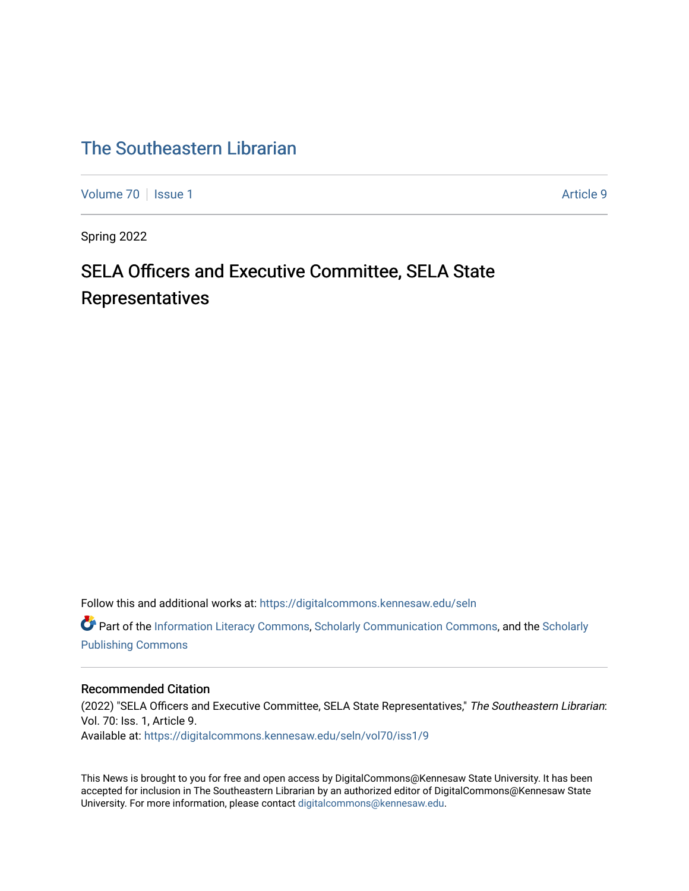## [The Southeastern Librarian](https://digitalcommons.kennesaw.edu/seln)

[Volume 70](https://digitalcommons.kennesaw.edu/seln/vol70) | [Issue 1](https://digitalcommons.kennesaw.edu/seln/vol70/iss1) Article 9

Spring 2022

# SELA Officers and Executive Committee, SELA State Representatives

Follow this and additional works at: [https://digitalcommons.kennesaw.edu/seln](https://digitalcommons.kennesaw.edu/seln?utm_source=digitalcommons.kennesaw.edu%2Fseln%2Fvol70%2Fiss1%2F9&utm_medium=PDF&utm_campaign=PDFCoverPages) 

**C** Part of the [Information Literacy Commons](http://network.bepress.com/hgg/discipline/1243?utm_source=digitalcommons.kennesaw.edu%2Fseln%2Fvol70%2Fiss1%2F9&utm_medium=PDF&utm_campaign=PDFCoverPages), [Scholarly Communication Commons](http://network.bepress.com/hgg/discipline/1272?utm_source=digitalcommons.kennesaw.edu%2Fseln%2Fvol70%2Fiss1%2F9&utm_medium=PDF&utm_campaign=PDFCoverPages), and the [Scholarly](http://network.bepress.com/hgg/discipline/1273?utm_source=digitalcommons.kennesaw.edu%2Fseln%2Fvol70%2Fiss1%2F9&utm_medium=PDF&utm_campaign=PDFCoverPages) [Publishing Commons](http://network.bepress.com/hgg/discipline/1273?utm_source=digitalcommons.kennesaw.edu%2Fseln%2Fvol70%2Fiss1%2F9&utm_medium=PDF&utm_campaign=PDFCoverPages)

#### Recommended Citation

(2022) "SELA Officers and Executive Committee, SELA State Representatives," The Southeastern Librarian: Vol. 70: Iss. 1, Article 9. Available at: [https://digitalcommons.kennesaw.edu/seln/vol70/iss1/9](https://digitalcommons.kennesaw.edu/seln/vol70/iss1/9?utm_source=digitalcommons.kennesaw.edu%2Fseln%2Fvol70%2Fiss1%2F9&utm_medium=PDF&utm_campaign=PDFCoverPages)

This News is brought to you for free and open access by DigitalCommons@Kennesaw State University. It has been accepted for inclusion in The Southeastern Librarian by an authorized editor of DigitalCommons@Kennesaw State University. For more information, please contact [digitalcommons@kennesaw.edu.](mailto:digitalcommons@kennesaw.edu)